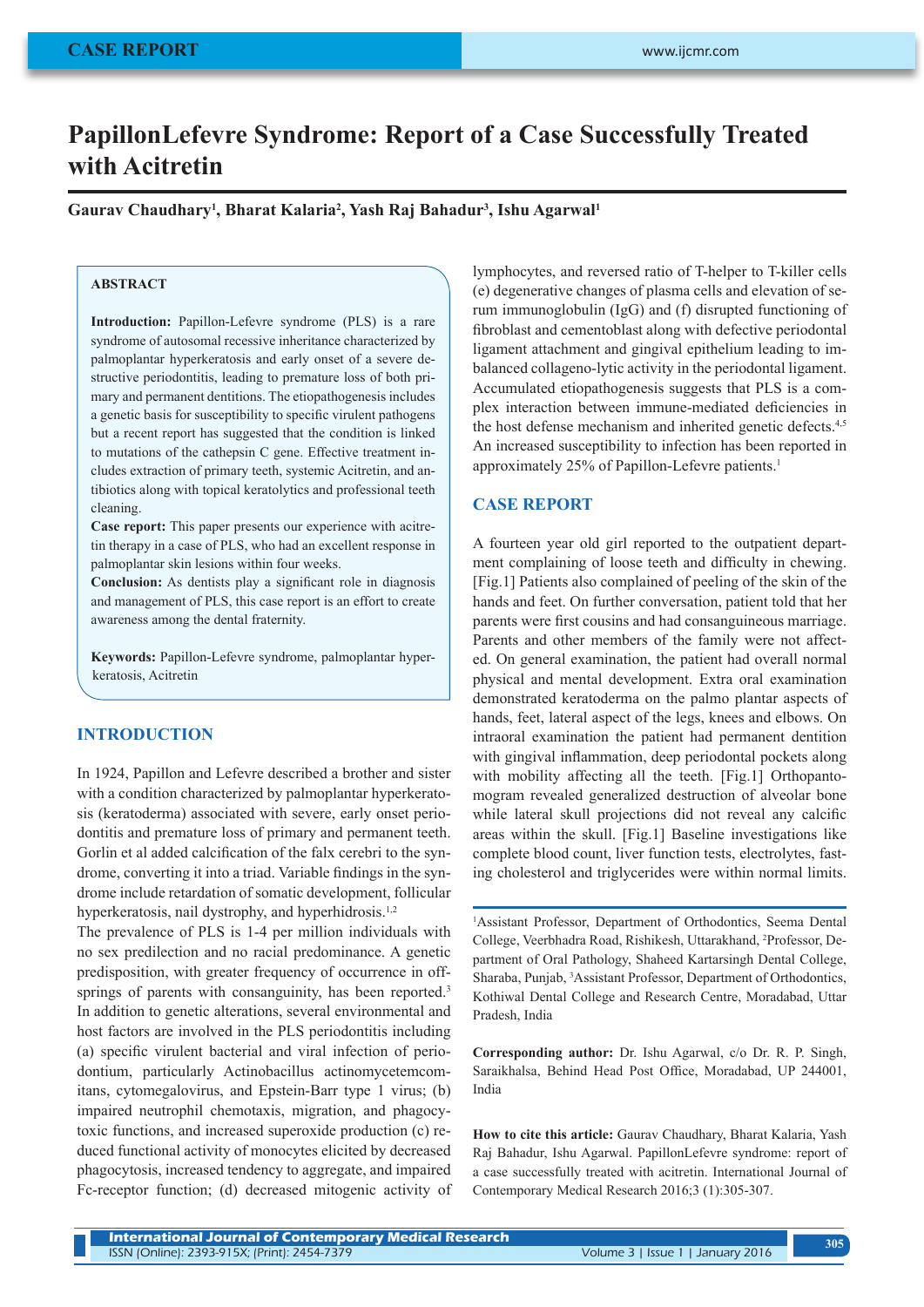# **PapillonLefevre Syndrome: Report of a Case Successfully Treated with Acitretin**

**Gaurav Chaudhary1 , Bharat Kalaria2 , Yash Raj Bahadur3 , Ishu Agarwal1**

# **ABSTRACT**

**Introduction:** Papillon-Lefevre syndrome (PLS) is a rare syndrome of autosomal recessive inheritance characterized by palmoplantar hyperkeratosis and early onset of a severe destructive periodontitis, leading to premature loss of both primary and permanent dentitions. The etiopathogenesis includes a genetic basis for susceptibility to specific virulent pathogens but a recent report has suggested that the condition is linked to mutations of the cathepsin C gene. Effective treatment includes extraction of primary teeth, systemic Acitretin, and antibiotics along with topical keratolytics and professional teeth cleaning.

**Case report:** This paper presents our experience with acitretin therapy in a case of PLS, who had an excellent response in palmoplantar skin lesions within four weeks.

**Conclusion:** As dentists play a significant role in diagnosis and management of PLS, this case report is an effort to create awareness among the dental fraternity.

**Keywords:** Papillon-Lefevre syndrome, palmoplantar hyperkeratosis, Acitretin

# **INTRODUCTION**

In 1924, Papillon and Lefevre described a brother and sister with a condition characterized by palmoplantar hyperkeratosis (keratoderma) associated with severe, early onset periodontitis and premature loss of primary and permanent teeth. Gorlin et al added calcification of the falx cerebri to the syndrome, converting it into a triad. Variable findings in the syndrome include retardation of somatic development, follicular hyperkeratosis, nail dystrophy, and hyperhidrosis.<sup>1,2</sup>

The prevalence of PLS is 1-4 per million individuals with no sex predilection and no racial predominance. A genetic predisposition, with greater frequency of occurrence in offsprings of parents with consanguinity, has been reported.<sup>3</sup> In addition to genetic alterations, several environmental and host factors are involved in the PLS periodontitis including (a) specific virulent bacterial and viral infection of periodontium, particularly Actinobacillus actinomycetemcomitans, cytomegalovirus, and Epstein-Barr type 1 virus; (b) impaired neutrophil chemotaxis, migration, and phagocytoxic functions, and increased superoxide production (c) reduced functional activity of monocytes elicited by decreased phagocytosis, increased tendency to aggregate, and impaired Fc-receptor function; (d) decreased mitogenic activity of

lymphocytes, and reversed ratio of T-helper to T-killer cells (e) degenerative changes of plasma cells and elevation of serum immunoglobulin (IgG) and (f) disrupted functioning of fibroblast and cementoblast along with defective periodontal ligament attachment and gingival epithelium leading to imbalanced collageno-lytic activity in the periodontal ligament. Accumulated etiopathogenesis suggests that PLS is a complex interaction between immune-mediated deficiencies in the host defense mechanism and inherited genetic defects.<sup>4,5</sup> An increased susceptibility to infection has been reported in approximately 25% of Papillon-Lefevre patients.<sup>1</sup>

## **CASE REPORT**

A fourteen year old girl reported to the outpatient department complaining of loose teeth and difficulty in chewing. [Fig.1] Patients also complained of peeling of the skin of the hands and feet. On further conversation, patient told that her parents were first cousins and had consanguineous marriage. Parents and other members of the family were not affected. On general examination, the patient had overall normal physical and mental development. Extra oral examination demonstrated keratoderma on the palmo plantar aspects of hands, feet, lateral aspect of the legs, knees and elbows. On intraoral examination the patient had permanent dentition with gingival inflammation, deep periodontal pockets along with mobility affecting all the teeth. [Fig.1] Orthopantomogram revealed generalized destruction of alveolar bone while lateral skull projections did not reveal any calcific areas within the skull. [Fig.1] Baseline investigations like complete blood count, liver function tests, electrolytes, fasting cholesterol and triglycerides were within normal limits.

1 Assistant Professor, Department of Orthodontics, Seema Dental College, Veerbhadra Road, Rishikesh, Uttarakhand, <sup>2</sup>Professor, Department of Oral Pathology, Shaheed Kartarsingh Dental College, Sharaba, Punjab, 3 Assistant Professor, Department of Orthodontics, Kothiwal Dental College and Research Centre, Moradabad, Uttar Pradesh, India

**Corresponding author:** Dr. Ishu Agarwal, c/o Dr. R. P. Singh, Saraikhalsa, Behind Head Post Office, Moradabad, UP 244001, India

**How to cite this article:** Gaurav Chaudhary, Bharat Kalaria, Yash Raj Bahadur, Ishu Agarwal. PapillonLefevre syndrome: report of a case successfully treated with acitretin. International Journal of Contemporary Medical Research 2016;3 (1):305-307.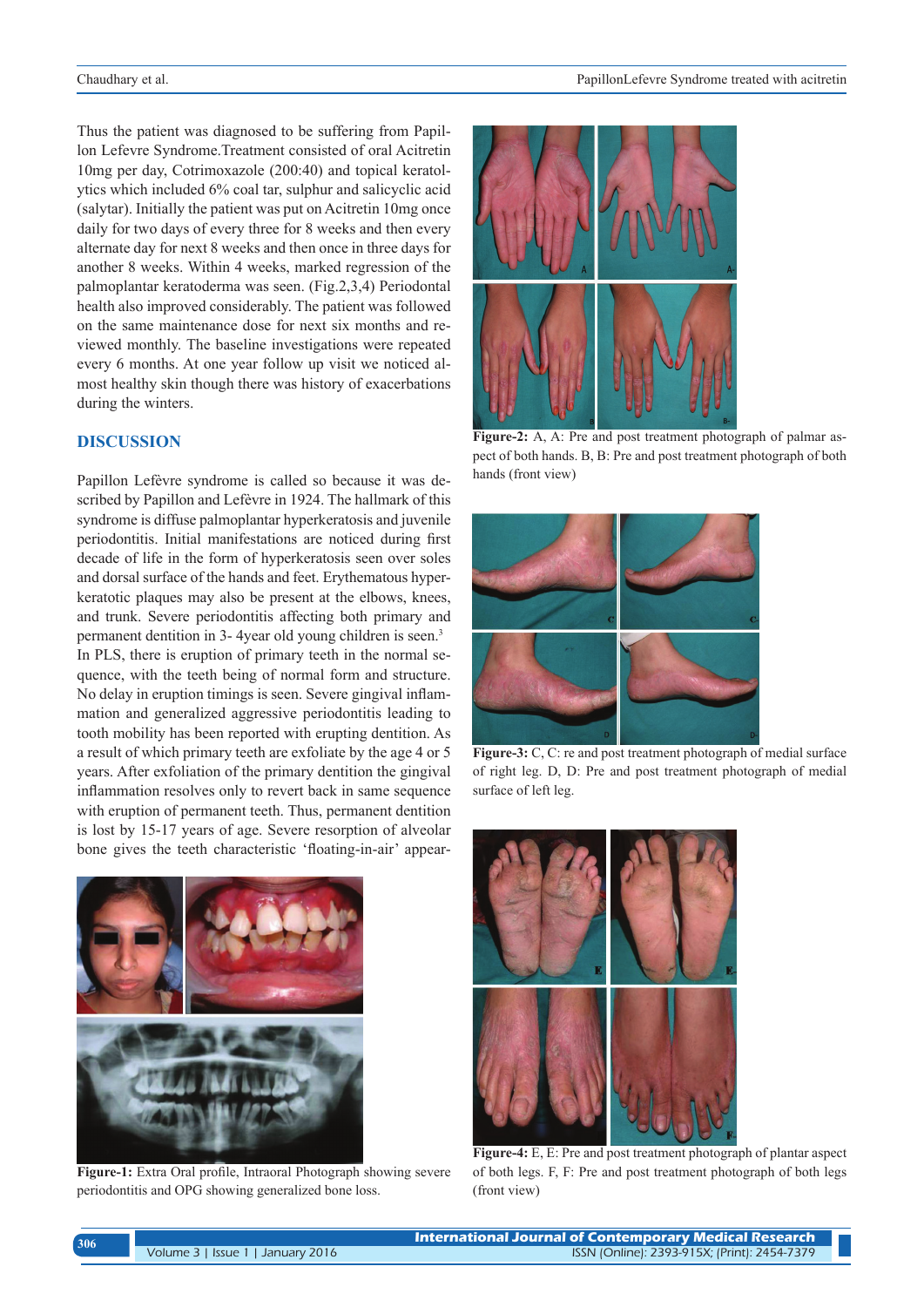Thus the patient was diagnosed to be suffering from Papillon Lefevre Syndrome.Treatment consisted of oral Acitretin 10mg per day, Cotrimoxazole (200:40) and topical keratolytics which included 6% coal tar, sulphur and salicyclic acid (salytar). Initially the patient was put on Acitretin 10mg once daily for two days of every three for 8 weeks and then every alternate day for next 8 weeks and then once in three days for another 8 weeks. Within 4 weeks, marked regression of the palmoplantar keratoderma was seen. (Fig.2,3,4) Periodontal health also improved considerably. The patient was followed on the same maintenance dose for next six months and reviewed monthly. The baseline investigations were repeated every 6 months. At one year follow up visit we noticed almost healthy skin though there was history of exacerbations during the winters.

# **DISCUSSION**

Papillon Lefèvre syndrome is called so because it was described by Papillon and Lefèvre in 1924. The hallmark of this syndrome is diffuse palmoplantar hyperkeratosis and juvenile periodontitis. Initial manifestations are noticed during first decade of life in the form of hyperkeratosis seen over soles and dorsal surface of the hands and feet. Erythematous hyperkeratotic plaques may also be present at the elbows, knees, and trunk. Severe periodontitis affecting both primary and permanent dentition in 3- 4year old young children is seen.<sup>3</sup> In PLS, there is eruption of primary teeth in the normal sequence, with the teeth being of normal form and structure. No delay in eruption timings is seen. Severe gingival inflammation and generalized aggressive periodontitis leading to tooth mobility has been reported with erupting dentition. As a result of which primary teeth are exfoliate by the age 4 or 5 years. After exfoliation of the primary dentition the gingival inflammation resolves only to revert back in same sequence with eruption of permanent teeth. Thus, permanent dentition is lost by 15-17 years of age. Severe resorption of alveolar bone gives the teeth characteristic 'floating-in-air' appear-



**Figure-1:** Extra Oral profile, Intraoral Photograph showing severe periodontitis and OPG showing generalized bone loss.



**Figure-2:** A, A: Pre and post treatment photograph of palmar aspect of both hands. B, B: Pre and post treatment photograph of both hands (front view)



**Figure-3:** C, C: re and post treatment photograph of medial surface of right leg. D, D: Pre and post treatment photograph of medial surface of left leg.



**Figure-4:** E, E: Pre and post treatment photograph of plantar aspect of both legs. F, F: Pre and post treatment photograph of both legs (front view)